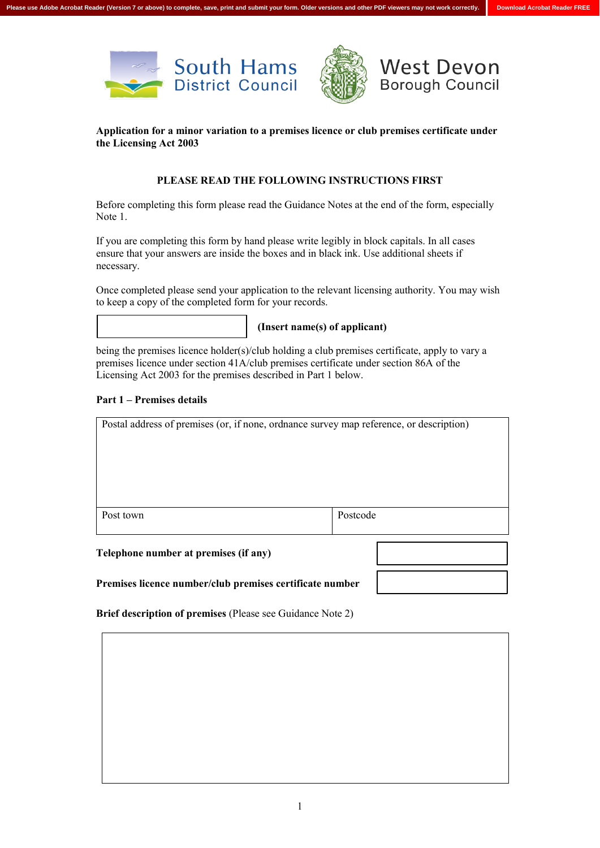





### **the Licensing Act 2003 Application for a minor variation to a premises licence or club premises certificate under**

## **PLEASE READ THE FOLLOWING INSTRUCTIONS FIRST**

 Before completing this form please read the Guidance Notes at the end of the form, especially Note 1.

Note 1.<br>If you are completing this form by hand please write legibly in block capitals. In all cases ensure that your answers are inside the boxes and in black ink. Use additional sheets if necessary.

necessary.<br>Once completed please send your application to the relevant licensing authority. You may wish to keep a copy of the completed form for your records.

#### **(Insert name(s) of applicant)**

 being the premises licence holder(s)/club holding a club premises certificate, apply to vary a premises licence under section 41A/club premises certificate under section 86A of the Licensing Act 2003 for the premises described in Part 1 below.

#### **Part 1 – Premises details**

| Postal address of premises (or, if none, ordnance survey map reference, or description) |          |
|-----------------------------------------------------------------------------------------|----------|
|                                                                                         |          |
|                                                                                         |          |
|                                                                                         |          |
|                                                                                         |          |
|                                                                                         |          |
| Post town                                                                               | Postcode |
|                                                                                         |          |
| Telephone number at premises (if any)                                                   |          |

 **Premises licence number/club premises certificate number** 

 **Brief description of premises** (Please see Guidance Note 2)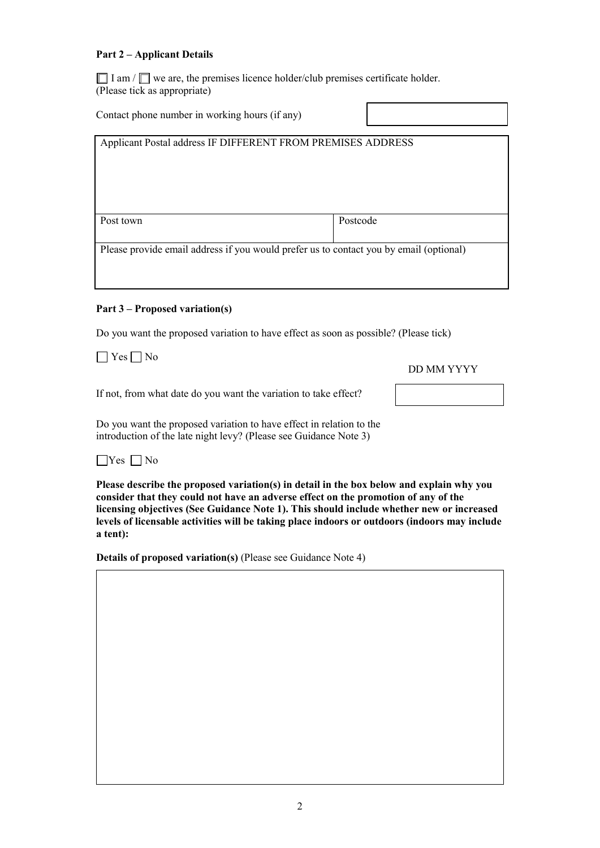### **Part 2 – Applicant Details**

I am  $/\Box$  we are, the premises licence holder/club premises certificate holder. (Please tick as appropriate)

 Contact phone number in working hours (if any) Applicant Postal address IF DIFFERENT FROM PREMISES ADDRESS Post town Postcode Please provide email address if you would prefer us to contact you by email (optional)

# **Part 3 – Proposed variation(s)**

Do you want the proposed variation to have effect as soon as possible? (Please tick)

 $Yes \Box No$ 

DD MM YYYY

If not, from what date do you want the variation to take effect?

Do you want the proposed variation to have effect in relation to the Do you want the proposed variation to have effect in relation to the introduction of the late night levy? (Please see Guidance Note 3)

# $Yes \Box No$

 **Please describe the proposed variation(s) in detail in the box below and explain why you consider that they could not have an adverse effect on the promotion of any of the licensing objectives (See Guidance Note 1). This should include whether new or increased levels of licensable activities will be taking place indoors or outdoors (indoors may include a tent):** 

 **Details of proposed variation(s)** (Please see Guidance Note 4)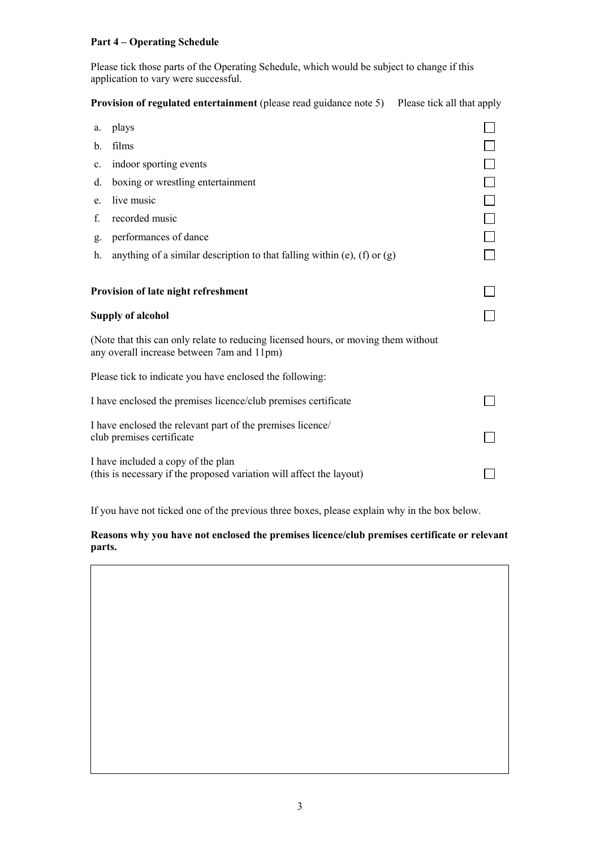# **Part 4 – Operating Schedule**

 Please tick those parts of the Operating Schedule, which would be subject to change if this application to vary were successful.

**Provision of regulated entertainment** (please read guidance note 5) Please tick all that apply

| a. | plays                                                                                                                            |  |  |
|----|----------------------------------------------------------------------------------------------------------------------------------|--|--|
| b. | films                                                                                                                            |  |  |
| c. | indoor sporting events                                                                                                           |  |  |
| d. | boxing or wrestling entertainment                                                                                                |  |  |
| e. | live music                                                                                                                       |  |  |
| f. | recorded music                                                                                                                   |  |  |
| g. | performances of dance                                                                                                            |  |  |
| h. | anything of a similar description to that falling within (e), (f) or $(g)$                                                       |  |  |
|    | Provision of late night refreshment<br><b>Supply of alcohol</b>                                                                  |  |  |
|    |                                                                                                                                  |  |  |
|    | (Note that this can only relate to reducing licensed hours, or moving them without<br>any overall increase between 7am and 11pm) |  |  |
|    | Please tick to indicate you have enclosed the following:                                                                         |  |  |
|    | I have enclosed the premises licence/club premises certificate                                                                   |  |  |
|    | I have enclosed the relevant part of the premises licence/<br>club premises certificate                                          |  |  |
|    | I have included a copy of the plan<br>(this is necessary if the proposed variation will affect the layout)                       |  |  |

If you have not ticked one of the previous three boxes, please explain why in the box below.

 **Reasons why you have not enclosed the premises licence/club premises certificate or relevant parts.**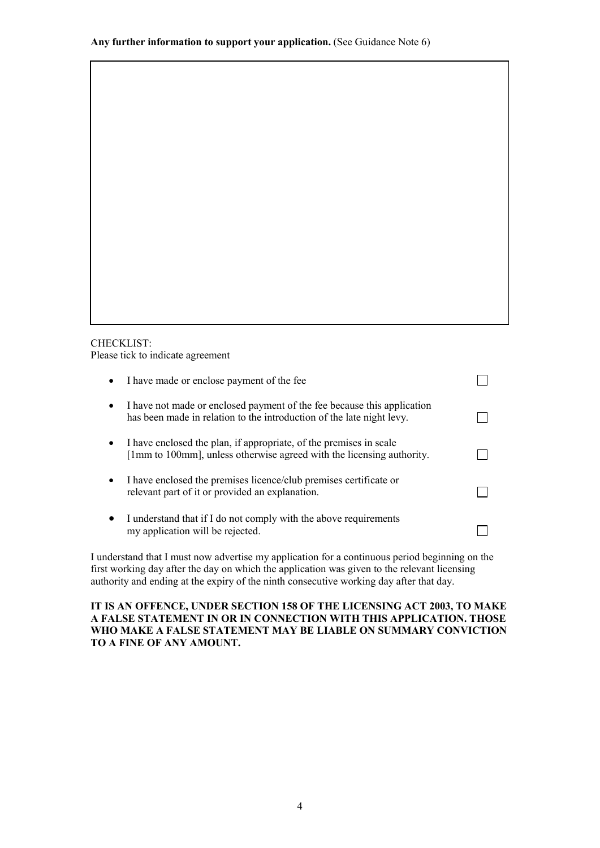#### **CHECKLIST:** CHECKLIST: Please tick to indicate agreement

| $\bullet$ | I have made or enclose payment of the fee                                                                                                        |  |
|-----------|--------------------------------------------------------------------------------------------------------------------------------------------------|--|
| $\bullet$ | I have not made or enclosed payment of the fee because this application<br>has been made in relation to the introduction of the late night levy. |  |
|           | I have enclosed the plan, if appropriate, of the premises in scale<br>[1mm to 100mm], unless otherwise agreed with the licensing authority.      |  |
| $\bullet$ | I have enclosed the premises licence/club premises certificate or<br>relevant part of it or provided an explanation.                             |  |
|           | I understand that if I do not comply with the above requirements<br>my application will be rejected.                                             |  |

 I understand that I must now advertise my application for a continuous period beginning on the authority and ending at the expiry of the ninth consecutive working day after that day. first working day after the day on which the application was given to the relevant licensing

#### **IT IS AN OFFENCE, UNDER SECTION 158 OF THE LICENSING ACT 2003, TO MAKE WHO MAKE A FALSE STATEMENT MAY BE LIABLE ON SUMMARY CONVICTION TO A FINE OF ANY AMOUNT. A FALSE STATEMENT IN OR IN CONNECTION WITH THIS APPLICATION. THOSE**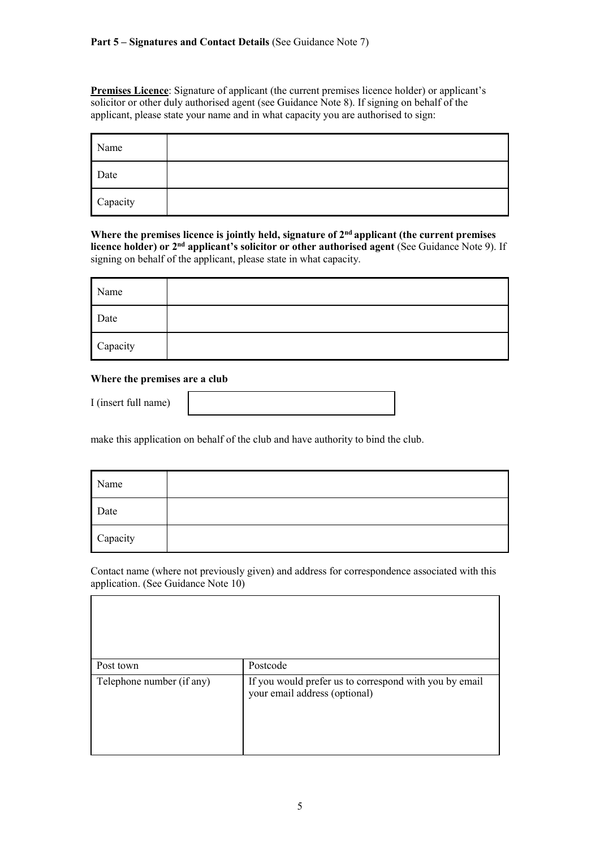# Part 5 – Signatures and Contact Details (See Guidance Note 7)

 **Premises Licence**: Signature of applicant (the current premises licence holder) or applicant's solicitor or other duly authorised agent (see Guidance Note 8). If signing on behalf of the applicant, please state your name and in what capacity you are authorised to sign:

| Name     |  |
|----------|--|
| Date     |  |
| Capacity |  |

Where the premises licence is jointly held, signature of 2<sup>nd</sup> applicant (the current premises licence holder) or 2<sup>nd</sup> applicant's solicitor or other authorised agent (See Guidance Note 9). If signing on behalf of the applicant, please state in what capacity.

| Name     |  |
|----------|--|
| Date     |  |
| Capacity |  |

# **Where the premises are a club**

| I (insert full name) |  |  |  |  |  |
|----------------------|--|--|--|--|--|
|----------------------|--|--|--|--|--|

make this application on behalf of the club and have authority to bind the club.

| Name                                                                                          |  |  |
|-----------------------------------------------------------------------------------------------|--|--|
| Date                                                                                          |  |  |
| Capacity                                                                                      |  |  |
| Contact name (where not previously given) and address for correspondence associated with this |  |  |

application. (See Guidance Note 10)

| Post town                 | Postcode                                                                                |
|---------------------------|-----------------------------------------------------------------------------------------|
| Telephone number (if any) | If you would prefer us to correspond with you by email<br>your email address (optional) |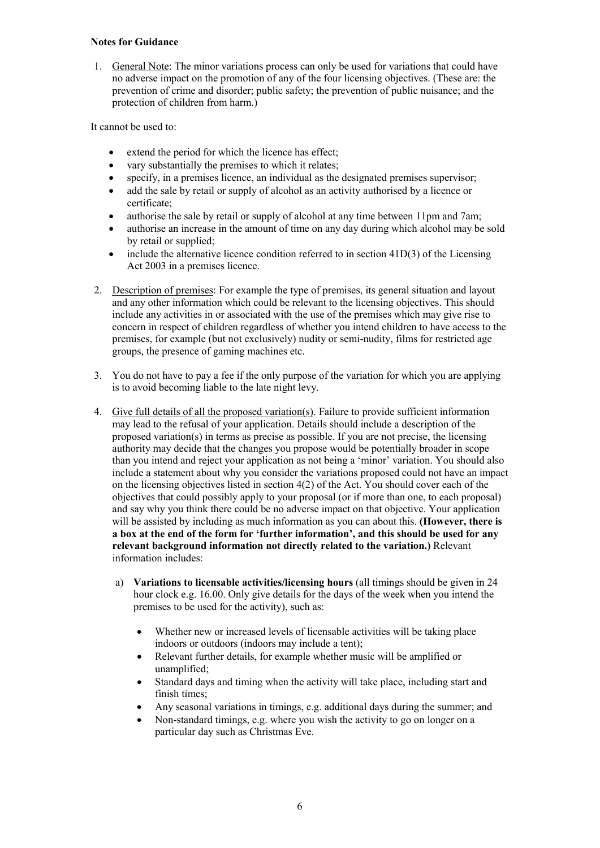### **Notes for Guidance**

 1. General Note: The minor variations process can only be used for variations that could have no adverse impact on the promotion of any of the four licensing objectives. (These are: the prevention of crime and disorder; public safety; the prevention of public nuisance; and the protection of children from harm.)

It cannot be used to:

- extend the period for which the licence has effect;
- vary substantially the premises to which it relates;
- specify, in a premises licence, an individual as the designated premises supervisor;
- • add the sale by retail or supply of alcohol as an activity authorised by a licence or certificate;
- authorise the sale by retail or supply of alcohol at any time between 11pm and 7am;
- • authorise an increase in the amount of time on any day during which alcohol may be sold by retail or supplied;
- include the alternative licence condition referred to in section  $41D(3)$  of the Licensing Act 2003 in a premises licence.
- 2. Description of premises: For example the type of premises, its general situation and layout and any other information which could be relevant to the licensing objectives. This should include any activities in or associated with the use of the premises which may give rise to concern in respect of children regardless of whether you intend children to have access to the premises, for example (but not exclusively) nudity or semi-nudity, films for restricted age groups, the presence of gaming machines etc.
- 3. You do not have to pay a fee if the only purpose of the variation for which you are applying is to avoid becoming liable to the late night levy.
- 4. Give full details of all the proposed variation(s). Failure to provide sufficient information may lead to the refusal of your application. Details should include a description of the proposed variation(s) in terms as precise as possible. If you are not precise, the licensing authority may decide that the changes you propose would be potentially broader in scope than you intend and reject your application as not being a 'minor' variation. You should also include a statement about why you consider the variations proposed could not have an impact on the licensing objectives listed in section 4(2) of the Act. You should cover each of the objectives that could possibly apply to your proposal (or if more than one, to each proposal) and say why you think there could be no adverse impact on that objective. Your application will be assisted by including as much information as you can about this. **(However, there is a box at the end of the form for 'further information', and this should be used for any relevant background information not directly related to the variation.)** Relevant information includes:
	- a) **Variations to licensable activities/licensing hours** (all timings should be given in 24 hour clock e.g. 16.00. Only give details for the days of the week when you intend the premises to be used for the activity), such as:
		- • Whether new or increased levels of licensable activities will be taking place indoors or outdoors (indoors may include a tent);
		- • Relevant further details, for example whether music will be amplified or unamplified;
		- • Standard days and timing when the activity will take place, including start and finish times;
		- Any seasonal variations in timings, e.g. additional days during the summer; and
		- • Non-standard timings, e.g. where you wish the activity to go on longer on a particular day such as Christmas Eve.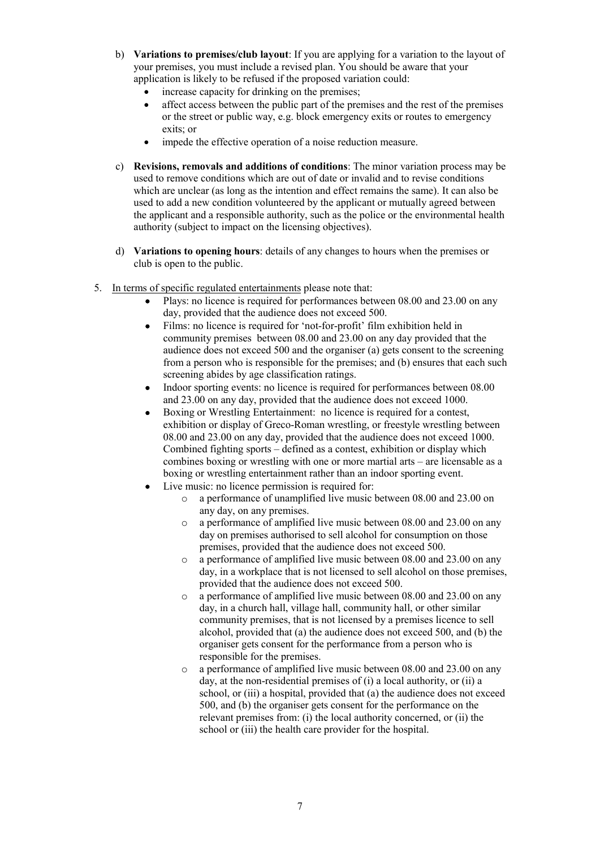- b) **Variations to premises/club layout**: If you are applying for a variation to the layout of your premises, you must include a revised plan. You should be aware that your application is likely to be refused if the proposed variation could:
	- increase capacity for drinking on the premises;
	- • affect access between the public part of the premises and the rest of the premises or the street or public way, e.g. block emergency exits or routes to emergency exits; or
	- impede the effective operation of a noise reduction measure.
- c) **Revisions, removals and additions of conditions**: The minor variation process may be used to remove conditions which are out of date or invalid and to revise conditions which are unclear (as long as the intention and effect remains the same). It can also be used to add a new condition volunteered by the applicant or mutually agreed between the applicant and a responsible authority, such as the police or the environmental health authority (subject to impact on the licensing objectives).
- d) **Variations to opening hours**: details of any changes to hours when the premises or club is open to the public.
- 5. In terms of specific regulated entertainments please note that:
	- Plays: no licence is required for performances between 08.00 and 23.00 on any day, provided that the audience does not exceed 500.
	- Films: no licence is required for 'not-for-profit' film exhibition held in community premises between 08.00 and 23.00 on any day provided that the audience does not exceed 500 and the organiser (a) gets consent to the screening from a person who is responsible for the premises; and (b) ensures that each such screening abides by age classification ratings.
	- and 23.00 on any day, provided that the audience does not exceed 1000. Indoor sporting events: no licence is required for performances between 08.00
	- Boxing or Wrestling Entertainment: no licence is required for a contest, exhibition or display of Greco-Roman wrestling, or freestyle wrestling between 08.00 and 23.00 on any day, provided that the audience does not exceed 1000. Combined fighting sports – defined as a contest, exhibition or display which combines boxing or wrestling with one or more martial arts – are licensable as a boxing or wrestling entertainment rather than an indoor sporting event.
	- Live music: no licence permission is required for:
		- o a performance of unamplified live music between 08.00 and 23.00 on any day, on any premises.
		- o a performance of amplified live music between 08.00 and 23.00 on any day on premises authorised to sell alcohol for consumption on those premises, provided that the audience does not exceed 500.
		- o a performance of amplified live music between 08.00 and 23.00 on any day, in a workplace that is not licensed to sell alcohol on those premises, provided that the audience does not exceed 500.
		- o a performance of amplified live music between 08.00 and 23.00 on any day, in a church hall, village hall, community hall, or other similar community premises, that is not licensed by a premises licence to sell alcohol, provided that (a) the audience does not exceed 500, and (b) the organiser gets consent for the performance from a person who is responsible for the premises.
		- o a performance of amplified live music between 08.00 and 23.00 on any day, at the non-residential premises of (i) a local authority, or (ii) a school, or (iii) a hospital, provided that (a) the audience does not exceed 500, and (b) the organiser gets consent for the performance on the relevant premises from: (i) the local authority concerned, or (ii) the school or (iii) the health care provider for the hospital.